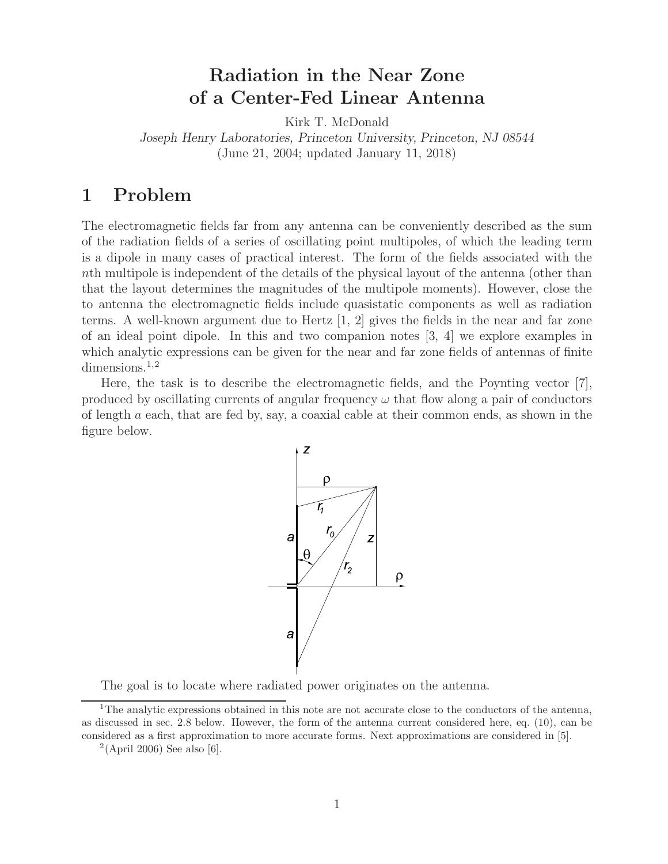# **Radiation in the Near Zone of a Center-Fed Linear Antenna**

Kirk T. McDonald

*Joseph Henry Laboratories, Princeton University, Princeton, NJ 08544* (June 21, 2004; updated January 11, 2018)

## **1 Problem**

The electromagnetic fields far from any antenna can be conveniently described as the sum of the radiation fields of a series of oscillating point multipoles, of which the leading term is a dipole in many cases of practical interest. The form of the fields associated with the nth multipole is independent of the details of the physical layout of the antenna (other than that the layout determines the magnitudes of the multipole moments). However, close the to antenna the electromagnetic fields include quasistatic components as well as radiation terms. A well-known argument due to Hertz [1, 2] gives the fields in the near and far zone of an ideal point dipole. In this and two companion notes [3, 4] we explore examples in which analytic expressions can be given for the near and far zone fields of antennas of finite  $dimensions.<sup>1,2</sup>$ 

Here, the task is to describe the electromagnetic fields, and the Poynting vector [7], produced by oscillating currents of angular frequency  $\omega$  that flow along a pair of conductors of length  $a$  each, that are fed by, say, a coaxial cable at their common ends, as shown in the figure below.



The goal is to locate where radiated power originates on the antenna.

<sup>&</sup>lt;sup>1</sup>The analytic expressions obtained in this note are not accurate close to the conductors of the antenna, as discussed in sec. 2.8 below. However, the form of the antenna current considered here, eq. (10), can be considered as a first approximation to more accurate forms. Next approximations are considered in [5].

 $2(Apri1 2006)$  See also [6].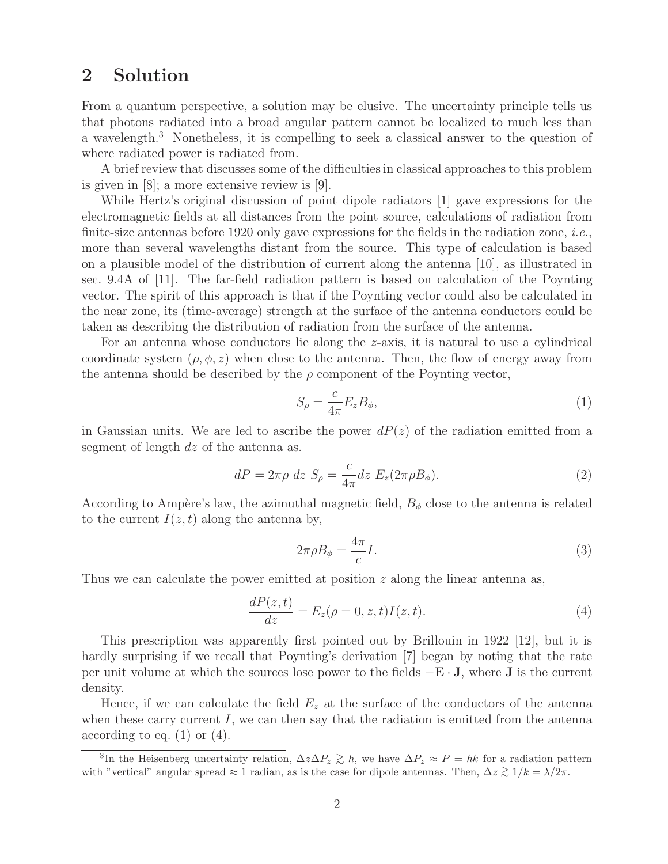### **2 Solution**

From a quantum perspective, a solution may be elusive. The uncertainty principle tells us that photons radiated into a broad angular pattern cannot be localized to much less than a wavelength.<sup>3</sup> Nonetheless, it is compelling to seek a classical answer to the question of where radiated power is radiated from.

A brief review that discusses some of the difficulties in classical approaches to this problem is given in [8]; a more extensive review is [9].

While Hertz's original discussion of point dipole radiators [1] gave expressions for the electromagnetic fields at all distances from the point source, calculations of radiation from finite-size antennas before 1920 only gave expressions for the fields in the radiation zone, *i.e.*, more than several wavelengths distant from the source. This type of calculation is based on a plausible model of the distribution of current along the antenna [10], as illustrated in sec. 9.4A of [11]. The far-field radiation pattern is based on calculation of the Poynting vector. The spirit of this approach is that if the Poynting vector could also be calculated in the near zone, its (time-average) strength at the surface of the antenna conductors could be taken as describing the distribution of radiation from the surface of the antenna.

For an antenna whose conductors lie along the z-axis, it is natural to use a cylindrical coordinate system  $(\rho, \phi, z)$  when close to the antenna. Then, the flow of energy away from the antenna should be described by the  $\rho$  component of the Poynting vector,

$$
S_{\rho} = \frac{c}{4\pi} E_z B_{\phi},\tag{1}
$$

in Gaussian units. We are led to ascribe the power  $dP(z)$  of the radiation emitted from a segment of length dz of the antenna as.

$$
dP = 2\pi\rho \ dz \ S_{\rho} = \frac{c}{4\pi} dz \ E_z (2\pi\rho B_{\phi}). \tag{2}
$$

According to Ampère's law, the azimuthal magnetic field,  $B_{\phi}$  close to the antenna is related to the current  $I(z, t)$  along the antenna by,

$$
2\pi \rho B_{\phi} = \frac{4\pi}{c} I. \tag{3}
$$

Thus we can calculate the power emitted at position z along the linear antenna as,

$$
\frac{dP(z,t)}{dz} = E_z(\rho = 0, z, t)I(z,t).
$$
\n(4)

This prescription was apparently first pointed out by Brillouin in 1922 [12], but it is hardly surprising if we recall that Poynting's derivation [7] began by noting that the rate per unit volume at which the sources lose power to the fields −**E** · **J**, where **J** is the current density.

Hence, if we can calculate the field  $E_z$  at the surface of the conductors of the antenna when these carry current  $I$ , we can then say that the radiation is emitted from the antenna according to eq.  $(1)$  or  $(4)$ .

<sup>&</sup>lt;sup>3</sup>In the Heisenberg uncertainty relation,  $\Delta z \Delta P_z \gtrsim \hbar$ , we have  $\Delta P_z \approx P = \hbar k$  for a radiation pattern<br>a<sup>2</sup><br>is the aggregation parally appeal of 1 noding as is the sees for dinals aptenness. Then  $\Delta z \ge 1/k$  and  $\Delta z$ with "vertical" angular spread  $\approx 1$  radian, as is the case for dipole antennas. Then,  $\Delta z \gtrsim 1/k = \lambda/2\pi$ .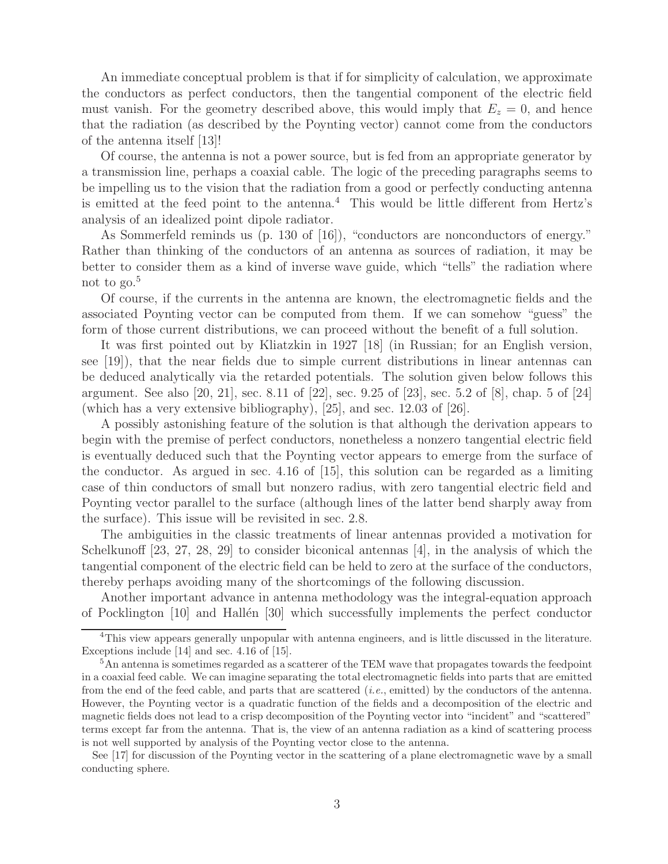An immediate conceptual problem is that if for simplicity of calculation, we approximate the conductors as perfect conductors, then the tangential component of the electric field must vanish. For the geometry described above, this would imply that  $E_z = 0$ , and hence that the radiation (as described by the Poynting vector) cannot come from the conductors of the antenna itself [13]!

Of course, the antenna is not a power source, but is fed from an appropriate generator by a transmission line, perhaps a coaxial cable. The logic of the preceding paragraphs seems to be impelling us to the vision that the radiation from a good or perfectly conducting antenna is emitted at the feed point to the antenna.<sup>4</sup> This would be little different from Hertz's analysis of an idealized point dipole radiator.

As Sommerfeld reminds us (p. 130 of [16]), "conductors are nonconductors of energy." Rather than thinking of the conductors of an antenna as sources of radiation, it may be better to consider them as a kind of inverse wave guide, which "tells" the radiation where not to  $\text{go.}^5$ 

Of course, if the currents in the antenna are known, the electromagnetic fields and the associated Poynting vector can be computed from them. If we can somehow "guess" the form of those current distributions, we can proceed without the benefit of a full solution.

It was first pointed out by Kliatzkin in 1927 [18] (in Russian; for an English version, see [19]), that the near fields due to simple current distributions in linear antennas can be deduced analytically via the retarded potentials. The solution given below follows this argument. See also [20, 21], sec. 8.11 of [22], sec. 9.25 of [23], sec. 5.2 of [8], chap. 5 of [24] (which has a very extensive bibliography), [25], and sec. 12.03 of [26].

A possibly astonishing feature of the solution is that although the derivation appears to begin with the premise of perfect conductors, nonetheless a nonzero tangential electric field is eventually deduced such that the Poynting vector appears to emerge from the surface of the conductor. As argued in sec. 4.16 of [15], this solution can be regarded as a limiting case of thin conductors of small but nonzero radius, with zero tangential electric field and Poynting vector parallel to the surface (although lines of the latter bend sharply away from the surface). This issue will be revisited in sec. 2.8.

The ambiguities in the classic treatments of linear antennas provided a motivation for Schelkunoff [23, 27, 28, 29] to consider biconical antennas [4], in the analysis of which the tangential component of the electric field can be held to zero at the surface of the conductors, thereby perhaps avoiding many of the shortcomings of the following discussion.

Another important advance in antenna methodology was the integral-equation approach of Pocklington  $[10]$  and Hallén  $[30]$  which successfully implements the perfect conductor

See [17] for discussion of the Poynting vector in the scattering of a plane electromagnetic wave by a small conducting sphere.

<sup>&</sup>lt;sup>4</sup>This view appears generally unpopular with antenna engineers, and is little discussed in the literature. Exceptions include [14] and sec. 4.16 of [15].

<sup>&</sup>lt;sup>5</sup>An antenna is sometimes regarded as a scatterer of the TEM wave that propagates towards the feedpoint in a coaxial feed cable. We can imagine separating the total electromagnetic fields into parts that are emitted from the end of the feed cable, and parts that are scattered (*i.e.*, emitted) by the conductors of the antenna. However, the Poynting vector is a quadratic function of the fields and a decomposition of the electric and magnetic fields does not lead to a crisp decomposition of the Poynting vector into "incident" and "scattered" terms except far from the antenna. That is, the view of an antenna radiation as a kind of scattering process is not well supported by analysis of the Poynting vector close to the antenna.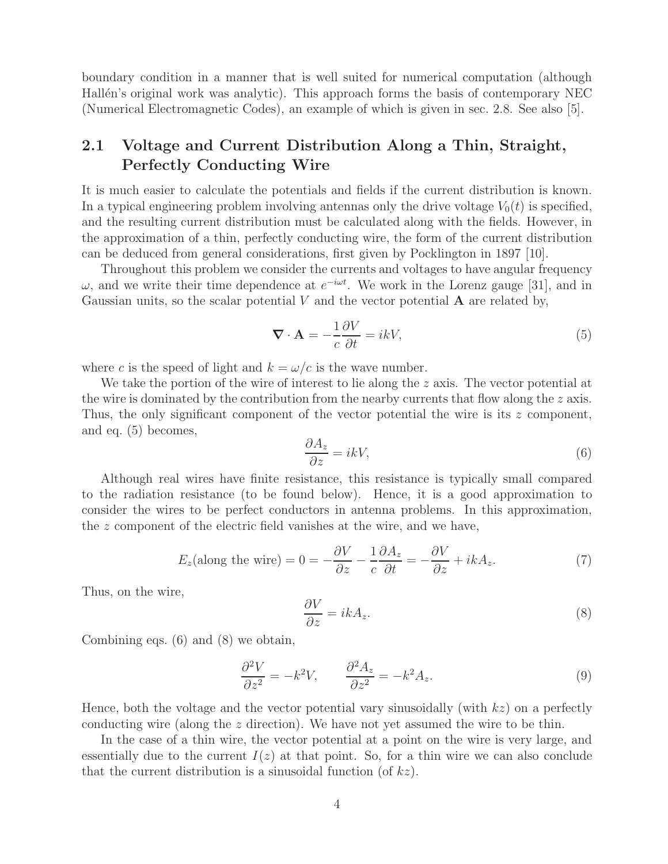boundary condition in a manner that is well suited for numerical computation (although Hallén's original work was analytic). This approach forms the basis of contemporary NEC (Numerical Electromagnetic Codes), an example of which is given in sec. 2.8. See also [5].

### **2.1 Voltage and Current Distribution Along a Thin, Straight, Perfectly Conducting Wire**

It is much easier to calculate the potentials and fields if the current distribution is known. In a typical engineering problem involving antennas only the drive voltage  $V_0(t)$  is specified, and the resulting current distribution must be calculated along with the fields. However, in the approximation of a thin, perfectly conducting wire, the form of the current distribution can be deduced from general considerations, first given by Pocklington in 1897 [10].

Throughout this problem we consider the currents and voltages to have angular frequency  $ω$ , and we write their time dependence at  $e^{-iωt}$ . We work in the Lorenz gauge [31], and in Gaussian units, so the scalar potential  $V$  and the vector potential  $\bf{A}$  are related by,

$$
\nabla \cdot \mathbf{A} = -\frac{1}{c} \frac{\partial V}{\partial t} = ikV,
$$
\n(5)

where c is the speed of light and  $k = \omega/c$  is the wave number.

We take the portion of the wire of interest to lie along the  $z$  axis. The vector potential at the wire is dominated by the contribution from the nearby currents that flow along the  $z$  axis. Thus, the only significant component of the vector potential the wire is its z component, and eq. (5) becomes,

$$
\frac{\partial A_z}{\partial z} = ikV,\tag{6}
$$

Although real wires have finite resistance, this resistance is typically small compared to the radiation resistance (to be found below). Hence, it is a good approximation to consider the wires to be perfect conductors in antenna problems. In this approximation, the z component of the electric field vanishes at the wire, and we have,

$$
E_z(\text{along the wire}) = 0 = -\frac{\partial V}{\partial z} - \frac{1}{c}\frac{\partial A_z}{\partial t} = -\frac{\partial V}{\partial z} + ikA_z.
$$
 (7)

Thus, on the wire,

$$
\frac{\partial V}{\partial z} = ikA_z.
$$
 (8)

Combining eqs. (6) and (8) we obtain,

$$
\frac{\partial^2 V}{\partial z^2} = -k^2 V, \qquad \frac{\partial^2 A_z}{\partial z^2} = -k^2 A_z.
$$
 (9)

Hence, both the voltage and the vector potential vary sinusoidally (with  $kz$ ) on a perfectly conducting wire (along the z direction). We have not yet assumed the wire to be thin.

In the case of a thin wire, the vector potential at a point on the wire is very large, and essentially due to the current  $I(z)$  at that point. So, for a thin wire we can also conclude that the current distribution is a sinusoidal function (of  $kz$ ).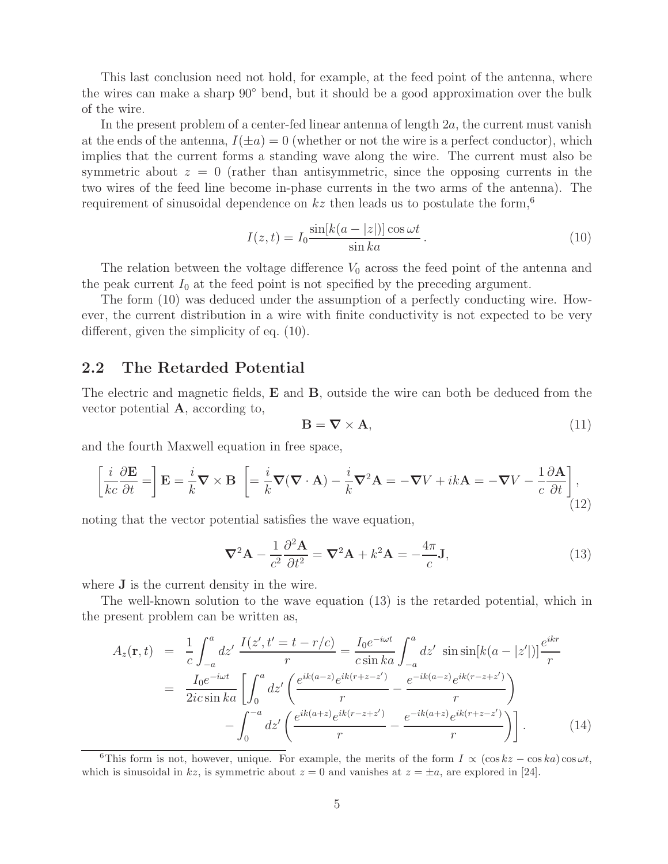This last conclusion need not hold, for example, at the feed point of the antenna, where the wires can make a sharp 90◦ bend, but it should be a good approximation over the bulk of the wire.

In the present problem of a center-fed linear antenna of length  $2a$ , the current must vanish at the ends of the antenna,  $I(\pm a) = 0$  (whether or not the wire is a perfect conductor), which implies that the current forms a standing wave along the wire. The current must also be symmetric about  $z = 0$  (rather than antisymmetric, since the opposing currents in the two wires of the feed line become in-phase currents in the two arms of the antenna). The requirement of sinusoidal dependence on  $kz$  then leads us to postulate the form,<sup>6</sup>

$$
I(z,t) = I_0 \frac{\sin[k(a - |z|)] \cos \omega t}{\sin ka}.
$$
\n(10)

The relation between the voltage difference  $V_0$  across the feed point of the antenna and the peak current  $I_0$  at the feed point is not specified by the preceding argument.

The form (10) was deduced under the assumption of a perfectly conducting wire. However, the current distribution in a wire with finite conductivity is not expected to be very different, given the simplicity of eq. (10).

#### **2.2 The Retarded Potential**

The electric and magnetic fields, **E** and **B**, outside the wire can both be deduced from the vector potential **A**, according to,

$$
\mathbf{B} = \nabla \times \mathbf{A},\tag{11}
$$

and the fourth Maxwell equation in free space,

$$
\left[\frac{i}{kc}\frac{\partial \mathbf{E}}{\partial t} = \right] \mathbf{E} = \frac{i}{k}\nabla \times \mathbf{B} \left[ = \frac{i}{k}\nabla(\nabla \cdot \mathbf{A}) - \frac{i}{k}\nabla^2 \mathbf{A} = -\nabla V + ik\mathbf{A} = -\nabla V - \frac{1}{c}\frac{\partial \mathbf{A}}{\partial t} \right],
$$
\n(12)

noting that the vector potential satisfies the wave equation,

$$
\nabla^2 \mathbf{A} - \frac{1}{c^2} \frac{\partial^2 \mathbf{A}}{\partial t^2} = \nabla^2 \mathbf{A} + k^2 \mathbf{A} = -\frac{4\pi}{c} \mathbf{J},\tag{13}
$$

where **J** is the current density in the wire.

The well-known solution to the wave equation (13) is the retarded potential, which in the present problem can be written as,

$$
A_{z}(\mathbf{r},t) = \frac{1}{c} \int_{-a}^{a} dz' \frac{I(z',t'=t-r/c)}{r} = \frac{I_{0}e^{-i\omega t}}{c \sin ka} \int_{-a}^{a} dz' \sin \sin[k(a-|z'])] \frac{e^{ikr}}{r}
$$
  

$$
= \frac{I_{0}e^{-i\omega t}}{2ic \sin ka} \left[ \int_{0}^{a} dz' \left( \frac{e^{ik(a-z)}e^{ik(r+z-z')}}{r} - \frac{e^{-ik(a-z)}e^{ik(r-z+z')}}{r} \right) - \int_{0}^{-a} dz' \left( \frac{e^{ik(a+z)}e^{ik(r-z+z')}}{r} - \frac{e^{-ik(a+z)}e^{ik(r+z-z')}}{r} \right) \right].
$$
 (14)

<sup>6</sup>This form is not, however, unique. For example, the merits of the form  $I \propto (\cos kz - \cos ka)\cos\omega t$ , which is sinusoidal in  $kz$ , is symmetric about  $z = 0$  and vanishes at  $z = \pm a$ , are explored in [24].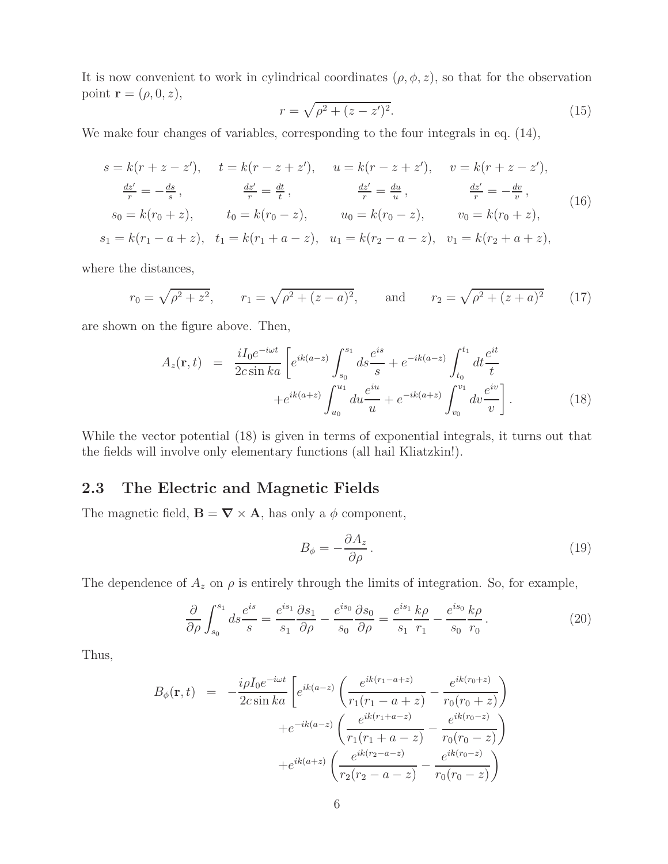It is now convenient to work in cylindrical coordinates  $(\rho, \phi, z)$ , so that for the observation point **r** =  $(\rho, 0, z)$ ,

$$
r = \sqrt{\rho^2 + (z - z')^2}.
$$
 (15)

We make four changes of variables, corresponding to the four integrals in eq.  $(14)$ ,

$$
s = k(r + z - z'), \t t = k(r - z + z'), \t u = k(r - z + z'), \t v = k(r + z - z'),
$$
  
\n
$$
\frac{dz'}{r} = -\frac{ds}{s}, \t \frac{dz'}{r} = \frac{dt}{t}, \t \frac{dz'}{r} = \frac{du}{u}, \t \frac{dz'}{r} = -\frac{dv}{v},
$$
  
\n
$$
s_0 = k(r_0 + z), \t t_0 = k(r_0 - z), \t u_0 = k(r_0 - z), \t v_0 = k(r_0 + z),
$$
  
\n
$$
s_1 = k(r_1 - a + z), \t t_1 = k(r_1 + a - z), \t u_1 = k(r_2 - a - z), \t v_1 = k(r_2 + a + z),
$$
  
\n(16)

where the distances,

$$
r_0 = \sqrt{\rho^2 + z^2}
$$
,  $r_1 = \sqrt{\rho^2 + (z - a)^2}$ , and  $r_2 = \sqrt{\rho^2 + (z + a)^2}$  (17)

are shown on the figure above. Then,

$$
A_z(\mathbf{r},t) = \frac{iI_0e^{-i\omega t}}{2c\sin ka} \left[ e^{ik(a-z)} \int_{s_0}^{s_1} ds \frac{e^{is}}{s} + e^{-ik(a-z)} \int_{t_0}^{t_1} dt \frac{e^{it}}{t} + e^{ik(a+z)} \int_{u_0}^{u_1} du \frac{e^{iu}}{u} + e^{-ik(a+z)} \int_{v_0}^{v_1} dv \frac{e^{iv}}{v} \right].
$$
 (18)

While the vector potential (18) is given in terms of exponential integrals, it turns out that the fields will involve only elementary functions (all hail Kliatzkin!).

#### **2.3 The Electric and Magnetic Fields**

The magnetic field,  $\mathbf{B} = \nabla \times \mathbf{A}$ , has only a  $\phi$  component,

$$
B_{\phi} = -\frac{\partial A_z}{\partial \rho}.
$$
\n(19)

The dependence of  $A_z$  on  $\rho$  is entirely through the limits of integration. So, for example,

$$
\frac{\partial}{\partial \rho} \int_{s_0}^{s_1} ds \frac{e^{is}}{s} = \frac{e^{is_1}}{s_1} \frac{\partial s_1}{\partial \rho} - \frac{e^{is_0}}{s_0} \frac{\partial s_0}{\partial \rho} = \frac{e^{is_1}}{s_1} \frac{k \rho}{r_1} - \frac{e^{is_0}}{s_0} \frac{k \rho}{r_0}.
$$
 (20)

Thus,

$$
B_{\phi}(\mathbf{r},t) = -\frac{i\rho I_0 e^{-i\omega t}}{2c \sin ka} \left[ e^{ik(a-z)} \left( \frac{e^{ik(r_1-a+z)}}{r_1(r_1-a+z)} - \frac{e^{ik(r_0+z)}}{r_0(r_0+z)} \right) + e^{-ik(a-z)} \left( \frac{e^{ik(r_1+a-z)}}{r_1(r_1+a-z)} - \frac{e^{ik(r_0-z)}}{r_0(r_0-z)} \right) + e^{ik(a+z)} \left( \frac{e^{ik(r_2-a-z)}}{r_2(r_2-a-z)} - \frac{e^{ik(r_0-z)}}{r_0(r_0-z)} \right)
$$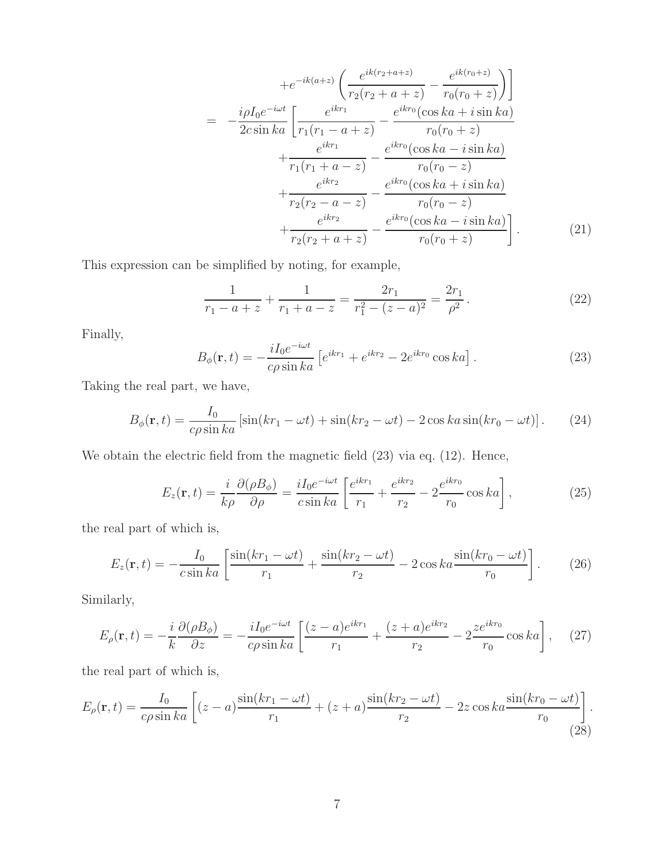$$
+e^{-ik(a+z)}\left(\frac{e^{ik(r_2+a+z)}}{r_2(r_2+a+z)}-\frac{e^{ik(r_0+z)}}{r_0(r_0+z)}\right)
$$
  

$$
= -\frac{i\rho I_0 e^{-i\omega t}}{2c\sin ka}\left[\frac{e^{ikr_1}}{r_1(r_1-a+z)}-\frac{e^{ikr_0}(\cos ka+i\sin ka)}{r_0(r_0+z)}+\frac{e^{ikr_1}}{r_1(r_1+a-z)}-\frac{e^{ikr_0}(\cos ka-i\sin ka)}{r_0(r_0-z)}+\frac{e^{ikr_2}}{r_2(r_2-a-z)}-\frac{e^{ikr_0}(\cos ka+i\sin ka)}{r_0(r_0-z)}+\frac{e^{ikr_2}}{r_2(r_2+a+z)}-\frac{e^{ikr_0}(\cos ka-i\sin ka)}{r_0(r_0+z)}\right].
$$
 (21)

This expression can be simplified by noting, for example,

$$
\frac{1}{r_1 - a + z} + \frac{1}{r_1 + a - z} = \frac{2r_1}{r_1^2 - (z - a)^2} = \frac{2r_1}{\rho^2}.
$$
 (22)

Finally,

$$
B_{\phi}(\mathbf{r},t) = -\frac{iI_0 e^{-i\omega t}}{c\rho \sin ka} \left[ e^{ikr_1} + e^{ikr_2} - 2e^{ikr_0} \cos ka \right].
$$
 (23)

Taking the real part, we have,

$$
B_{\phi}(\mathbf{r},t) = \frac{I_0}{c\rho \sin ka} \left[ \sin(kr_1 - \omega t) + \sin(kr_2 - \omega t) - 2\cos ka \sin(kr_0 - \omega t) \right].
$$
 (24)

We obtain the electric field from the magnetic field  $(23)$  via eq.  $(12)$ . Hence,

$$
E_z(\mathbf{r},t) = \frac{i}{k\rho} \frac{\partial(\rho B_\phi)}{\partial \rho} = \frac{iI_0 e^{-i\omega t}}{c \sin ka} \left[ \frac{e^{ikr_1}}{r_1} + \frac{e^{ikr_2}}{r_2} - 2 \frac{e^{ikr_0}}{r_0} \cos ka \right],\tag{25}
$$

the real part of which is,

$$
E_z(\mathbf{r}, t) = -\frac{I_0}{c \sin ka} \left[ \frac{\sin(kr_1 - \omega t)}{r_1} + \frac{\sin(kr_2 - \omega t)}{r_2} - 2\cos ka \frac{\sin(kr_0 - \omega t)}{r_0} \right].
$$
 (26)

Similarly,

$$
E_{\rho}(\mathbf{r},t) = -\frac{i}{k} \frac{\partial(\rho B_{\phi})}{\partial z} = -\frac{i I_0 e^{-i\omega t}}{c \rho \sin ka} \left[ \frac{(z-a)e^{ikr_1}}{r_1} + \frac{(z+a)e^{ikr_2}}{r_2} - 2 \frac{ze^{ikr_0}}{r_0} \cos ka \right], \quad (27)
$$

the real part of which is,

$$
E_{\rho}(\mathbf{r},t) = \frac{I_0}{c\rho \sin ka} \left[ (z-a)\frac{\sin(kr_1 - \omega t)}{r_1} + (z+a)\frac{\sin(kr_2 - \omega t)}{r_2} - 2z\cos ka \frac{\sin(kr_0 - \omega t)}{r_0} \right].
$$
\n(28)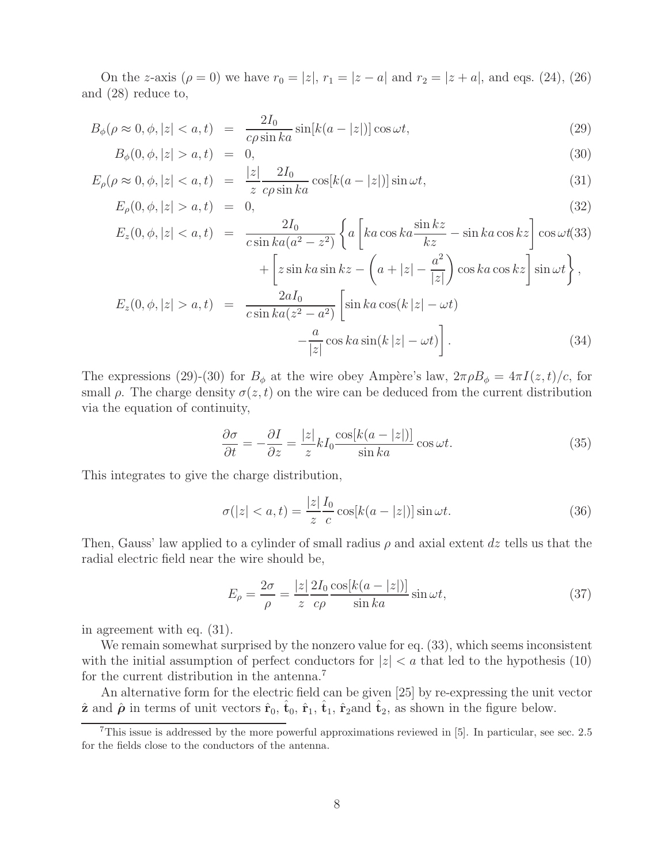On the z-axis ( $\rho = 0$ ) we have  $r_0 = |z|, r_1 = |z - a|$  and  $r_2 = |z + a|$ , and eqs. (24), (26) and (28) reduce to,

$$
B_{\phi}(\rho \approx 0, \phi, |z| < a, t) = \frac{2I_0}{c\rho \sin ka} \sin[k(a - |z|)] \cos \omega t,\tag{29}
$$

$$
B_{\phi}(0, \phi, |z| > a, t) = 0, \tag{30}
$$

$$
E_{\rho}(\rho \approx 0, \phi, |z| < a, t) = \frac{|z|}{z} \frac{2I_0}{c\rho \sin ka} \cos[k(a - |z|)] \sin \omega t,\tag{31}
$$

$$
E_{\rho}(0, \phi, |z| > a, t) = 0, \tag{32}
$$

$$
E_z(0, \phi, |z| < a, t) = \frac{2I_0}{c \sin ka(a^2 - z^2)} \left\{ a \left[ ka \cos ka \frac{\sin kz}{kz} - \sin ka \cos kz \right] \cos \omega t(33) \right. \\ \left. + \left[ z \sin ka \sin kz - \left( a + |z| - \frac{a^2}{|z|} \right) \cos ka \cos kz \right] \sin \omega t \right\},
$$
\n
$$
E_z(0, \phi, |z| > a, t) = \frac{2aI_0}{c \sin ka(z^2 - a^2)} \left[ \sin ka \cos(k|z| - \omega t) - \frac{a}{|z|} \cos ka \sin(k|z| - \omega t) \right]. \tag{34}
$$

The expressions (29)-(30) for  $B_{\phi}$  at the wire obey Ampère's law,  $2\pi \rho B_{\phi} = 4\pi I(z,t)/c$ , for small  $\rho$ . The charge density  $\sigma(z, t)$  on the wire can be deduced from the current distribution via the equation of continuity,

$$
\frac{\partial \sigma}{\partial t} = -\frac{\partial I}{\partial z} = \frac{|z|}{z} k I_0 \frac{\cos[k(a - |z|)]}{\sin ka} \cos \omega t.
$$
 (35)

This integrates to give the charge distribution,

$$
\sigma(|z| < a, t) = \frac{|z|}{z} \frac{I_0}{c} \cos[k(a - |z|)] \sin \omega t. \tag{36}
$$

Then, Gauss' law applied to a cylinder of small radius  $\rho$  and axial extent dz tells us that the radial electric field near the wire should be,

$$
E_{\rho} = \frac{2\sigma}{\rho} = \frac{|z|}{z} \frac{2I_0}{c\rho} \frac{\cos[k(a - |z|)]}{\sin ka} \sin \omega t, \qquad (37)
$$

in agreement with eq. (31).

We remain somewhat surprised by the nonzero value for eq.  $(33)$ , which seems inconsistent with the initial assumption of perfect conductors for  $|z| < a$  that led to the hypothesis (10) for the current distribution in the antenna.<sup>7</sup>

An alternative form for the electric field can be given [25] by re-expressing the unit vector  $\hat{\mathbf{z}}$  and  $\hat{\boldsymbol{\rho}}$  in terms of unit vectors  $\hat{\mathbf{r}}_0$ ,  $\hat{\mathbf{t}}_0$ ,  $\hat{\mathbf{r}}_1$ ,  $\hat{\mathbf{t}}_2$ , as shown in the figure below.

<sup>7</sup>This issue is addressed by the more powerful approximations reviewed in [5]. In particular, see sec. 2.5 for the fields close to the conductors of the antenna.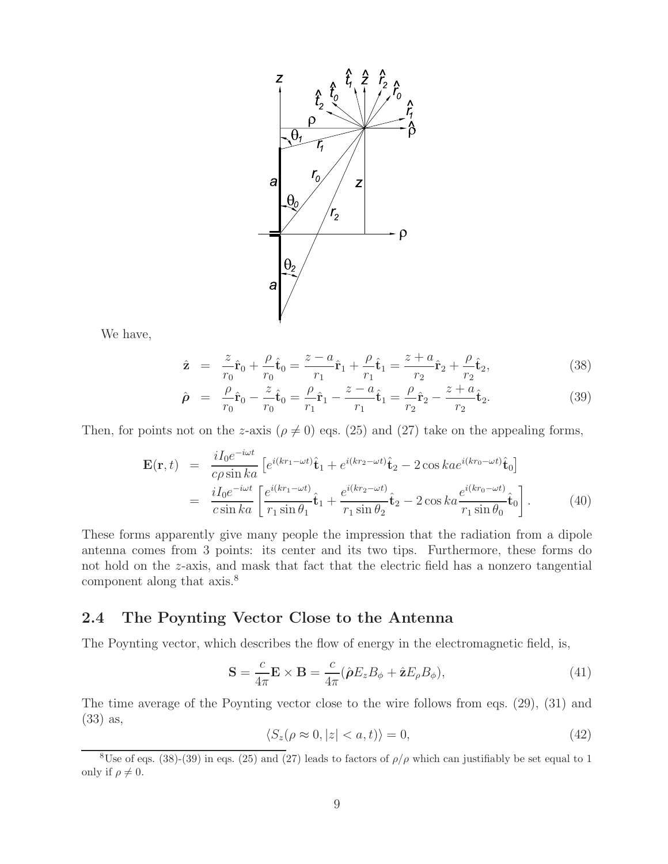

We have,

$$
\hat{\mathbf{z}} = \frac{z}{r_0}\hat{\mathbf{r}}_0 + \frac{\rho}{r_0}\hat{\mathbf{t}}_0 = \frac{z - a}{r_1}\hat{\mathbf{r}}_1 + \frac{\rho}{r_1}\hat{\mathbf{t}}_1 = \frac{z + a}{r_2}\hat{\mathbf{r}}_2 + \frac{\rho}{r_2}\hat{\mathbf{t}}_2,\tag{38}
$$

$$
\hat{\rho} = \frac{\rho}{r_0}\hat{r}_0 - \frac{z}{r_0}\hat{t}_0 = \frac{\rho}{r_1}\hat{r}_1 - \frac{z - a}{r_1}\hat{t}_1 = \frac{\rho}{r_2}\hat{r}_2 - \frac{z + a}{r_2}\hat{t}_2.
$$
\n(39)

Then, for points not on the z-axis ( $\rho \neq 0$ ) eqs. (25) and (27) take on the appealing forms,

$$
\mathbf{E}(\mathbf{r},t) = \frac{iI_0e^{-i\omega t}}{c\rho\sin ka} \left[ e^{i(kr_1-\omega t)}\hat{\mathbf{t}}_1 + e^{i(kr_2-\omega t)}\hat{\mathbf{t}}_2 - 2\cos ka e^{i(kr_0-\omega t)}\hat{\mathbf{t}}_0 \right]
$$
  
= 
$$
\frac{iI_0e^{-i\omega t}}{c\sin ka} \left[ \frac{e^{i(kr_1-\omega t)}}{r_1\sin\theta_1}\hat{\mathbf{t}}_1 + \frac{e^{i(kr_2-\omega t)}}{r_1\sin\theta_2}\hat{\mathbf{t}}_2 - 2\cos ka \frac{e^{i(kr_0-\omega t)}}{r_1\sin\theta_0}\hat{\mathbf{t}}_0 \right].
$$
 (40)

These forms apparently give many people the impression that the radiation from a dipole antenna comes from 3 points: its center and its two tips. Furthermore, these forms do not hold on the z-axis, and mask that fact that the electric field has a nonzero tangential component along that axis.<sup>8</sup>

#### **2.4 The Poynting Vector Close to the Antenna**

The Poynting vector, which describes the flow of energy in the electromagnetic field, is,

$$
\mathbf{S} = \frac{c}{4\pi} \mathbf{E} \times \mathbf{B} = \frac{c}{4\pi} (\hat{\boldsymbol{\rho}} E_z B_\phi + \hat{\mathbf{z}} E_\rho B_\phi), \tag{41}
$$

The time average of the Poynting vector close to the wire follows from eqs. (29), (31) and (33) as,

$$
\langle S_z(\rho \approx 0, |z| < a, t) \rangle = 0,\tag{42}
$$

<sup>&</sup>lt;sup>8</sup>Use of eqs. (38)-(39) in eqs. (25) and (27) leads to factors of  $\rho/\rho$  which can justifiably be set equal to 1 only if  $\rho \neq 0$ .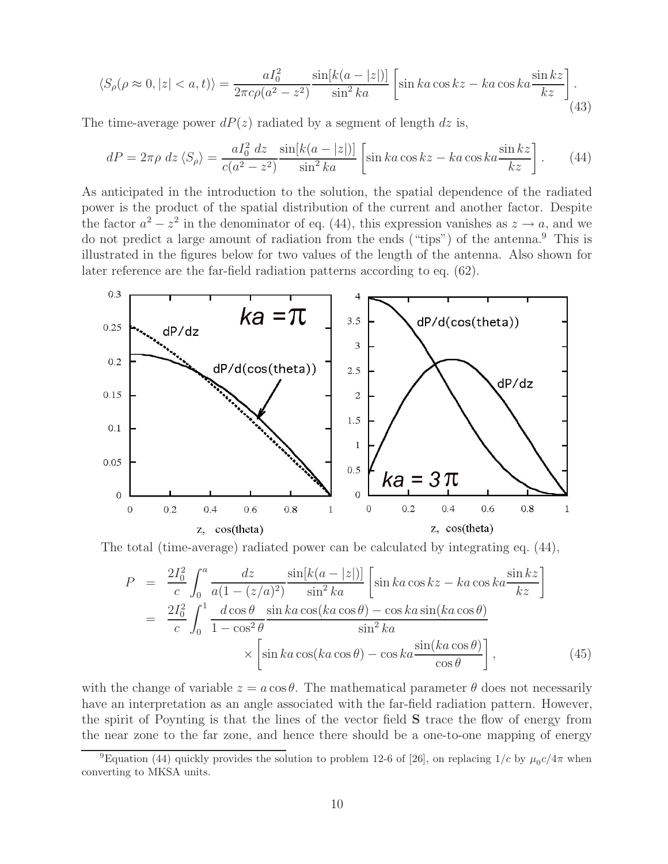$$
\langle S_{\rho}(\rho \approx 0, |z| < a, t) \rangle = \frac{aI_0^2}{2\pi c\rho(a^2 - z^2)} \frac{\sin[k(a - |z|)]}{\sin^2 ka} \left[ \sin ka \cos kz - ka \cos ka \frac{\sin kz}{kz} \right]. \tag{43}
$$

The time-average power  $dP(z)$  radiated by a segment of length dz is,

$$
dP = 2\pi\rho \ dz \langle S_{\rho} \rangle = \frac{aI_0^2 dz}{c(a^2 - z^2)} \frac{\sin[k(a - |z|)]}{\sin^2 ka} \left[ \sin ka \cos kz - ka \cos ka \frac{\sin kz}{kz} \right]. \tag{44}
$$

As anticipated in the introduction to the solution, the spatial dependence of the radiated power is the product of the spatial distribution of the current and another factor. Despite the factor  $a^2 - z^2$  in the denominator of eq. (44), this expression vanishes as  $z \to a$ , and we do not predict a large amount of radiation from the ends ("tips") of the antenna.<sup>9</sup> This is illustrated in the figures below for two values of the length of the antenna. Also shown for later reference are the far-field radiation patterns according to eq. (62).



The total (time-average) radiated power can be calculated by integrating eq. (44),

$$
P = \frac{2I_0^2}{c} \int_0^a \frac{dz}{a(1 - (z/a)^2)} \frac{\sin[k(a - |z|)]}{\sin^2 ka} \left[ \sin ka \cos kz - ka \cos ka \frac{\sin kz}{kz} \right]
$$
  

$$
= \frac{2I_0^2}{c} \int_0^1 \frac{d \cos \theta}{1 - \cos^2 \theta} \frac{\sin ka \cos(ka \cos \theta) - \cos ka \sin(ka \cos \theta)}{\sin^2 ka}
$$
  

$$
\times \left[ \sin ka \cos(ka \cos \theta) - \cos ka \frac{\sin(ka \cos \theta)}{\cos \theta} \right],
$$
(45)

with the change of variable  $z = a \cos \theta$ . The mathematical parameter  $\theta$  does not necessarily have an interpretation as an angle associated with the far-field radiation pattern. However, the spirit of Poynting is that the lines of the vector field **S** trace the flow of energy from the near zone to the far zone, and hence there should be a one-to-one mapping of energy

<sup>&</sup>lt;sup>9</sup>Equation (44) quickly provides the solution to problem 12-6 of [26], on replacing  $1/c$  by  $\mu_0 c/4\pi$  when converting to MKSA units.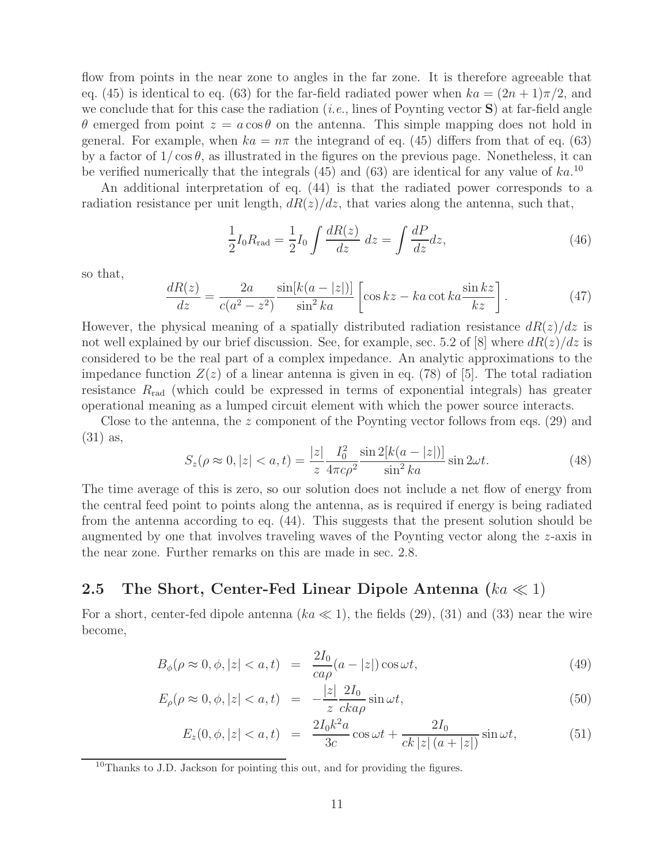flow from points in the near zone to angles in the far zone. It is therefore agreeable that eq. (45) is identical to eq. (63) for the far-field radiated power when  $ka = (2n + 1)\pi/2$ , and we conclude that for this case the radiation (*i.e.*, lines of Poynting vector **S**) at far-field angle θ emerged from point  $z = a \cos θ$  on the antenna. This simple mapping does not hold in general. For example, when  $ka = n\pi$  the integrand of eq. (45) differs from that of eq. (63) by a factor of  $1/\cos\theta$ , as illustrated in the figures on the previous page. Nonetheless, it can be verified numerically that the integrals  $(45)$  and  $(63)$  are identical for any value of  $ka$ .<sup>10</sup>

An additional interpretation of eq. (44) is that the radiated power corresponds to a radiation resistance per unit length,  $dR(z)/dz$ , that varies along the antenna, such that,

$$
\frac{1}{2}I_0 R_{\text{rad}} = \frac{1}{2}I_0 \int \frac{dR(z)}{dz} dz = \int \frac{dP}{dz} dz,
$$
\n(46)

so that,

$$
\frac{dR(z)}{dz} = \frac{2a}{c(a^2 - z^2)} \frac{\sin[k(a - |z|)]}{\sin^2 ka} \left[ \cos kz - ka \cot ka \frac{\sin kz}{kz} \right].
$$
 (47)

However, the physical meaning of a spatially distributed radiation resistance  $dR(z)/dz$  is not well explained by our brief discussion. See, for example, sec. 5.2 of [8] where  $dR(z)/dz$  is considered to be the real part of a complex impedance. An analytic approximations to the impedance function  $Z(z)$  of a linear antenna is given in eq. (78) of [5]. The total radiation resistance  $R_{\rm rad}$  (which could be expressed in terms of exponential integrals) has greater operational meaning as a lumped circuit element with which the power source interacts.

Close to the antenna, the z component of the Poynting vector follows from eqs. (29) and (31) as,

$$
S_z(\rho \approx 0, |z| < a, t) = \frac{|z|}{z} \frac{I_0^2}{4\pi c \rho^2} \frac{\sin 2[k(a - |z|)]}{\sin^2 ka} \sin 2\omega t. \tag{48}
$$

The time average of this is zero, so our solution does not include a net flow of energy from the central feed point to points along the antenna, as is required if energy is being radiated from the antenna according to eq. (44). This suggests that the present solution should be augmented by one that involves traveling waves of the Poynting vector along the z-axis in the near zone. Further remarks on this are made in sec. 2.8.

#### **2.5 The Short, Center-Fed Linear Dipole Antenna**  $(ka \ll 1)$

For a short, center-fed dipole antenna ( $ka \ll 1$ ), the fields (29), (31) and (33) near the wire become,

$$
B_{\phi}(\rho \approx 0, \phi, |z| < a, t) = \frac{2I_0}{ca\rho}(a - |z|) \cos \omega t,\tag{49}
$$

$$
E_{\rho}(\rho \approx 0, \phi, |z| < a, t) = -\frac{|z|}{z} \frac{2I_0}{cka\rho} \sin \omega t,\tag{50}
$$

$$
E_z(0, \phi, |z| < a, t) = \frac{2I_0 k^2 a}{3c} \cos \omega t + \frac{2I_0}{ck|z| (a + |z|)} \sin \omega t,\tag{51}
$$

 $10$ Thanks to J.D. Jackson for pointing this out, and for providing the figures.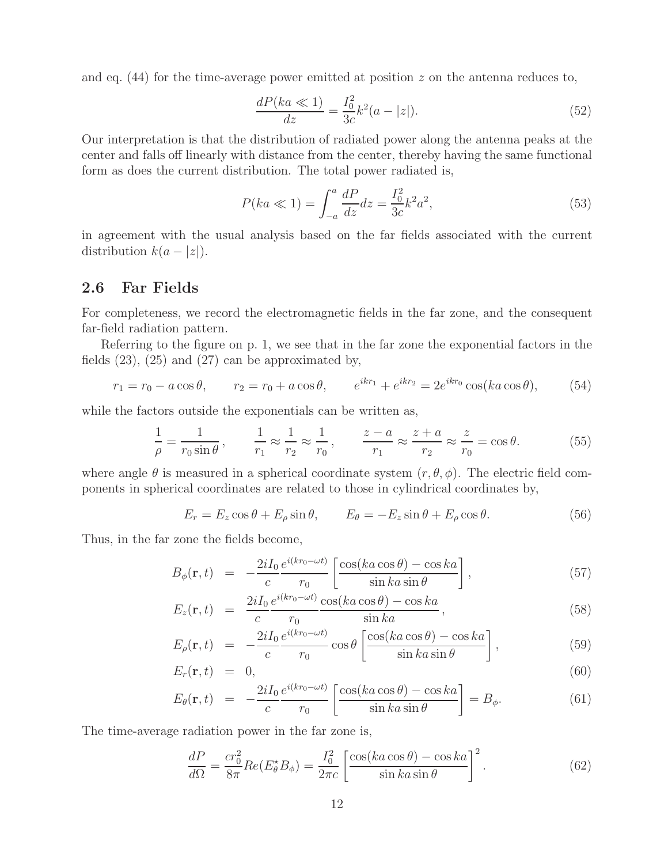and eq.  $(44)$  for the time-average power emitted at position z on the antenna reduces to,

$$
\frac{dP(ka \ll 1)}{dz} = \frac{I_0^2}{3c}k^2(a - |z|). \tag{52}
$$

Our interpretation is that the distribution of radiated power along the antenna peaks at the center and falls off linearly with distance from the center, thereby having the same functional form as does the current distribution. The total power radiated is,

$$
P(ka \ll 1) = \int_{-a}^{a} \frac{dP}{dz} dz = \frac{I_0^2}{3c} k^2 a^2,
$$
\n(53)

in agreement with the usual analysis based on the far fields associated with the current distribution  $k(a - |z|)$ .

#### **2.6 Far Fields**

For completeness, we record the electromagnetic fields in the far zone, and the consequent far-field radiation pattern.

Referring to the figure on p. 1, we see that in the far zone the exponential factors in the fields  $(23)$ ,  $(25)$  and  $(27)$  can be approximated by,

$$
r_1 = r_0 - a\cos\theta, \qquad r_2 = r_0 + a\cos\theta, \qquad e^{ikr_1} + e^{ikr_2} = 2e^{ikr_0}\cos(ka\cos\theta), \tag{54}
$$

while the factors outside the exponentials can be written as,

$$
\frac{1}{\rho} = \frac{1}{r_0 \sin \theta}, \qquad \frac{1}{r_1} \approx \frac{1}{r_2} \approx \frac{1}{r_0}, \qquad \frac{z - a}{r_1} \approx \frac{z + a}{r_2} \approx \frac{z}{r_0} = \cos \theta.
$$
 (55)

where angle  $\theta$  is measured in a spherical coordinate system  $(r, \theta, \phi)$ . The electric field components in spherical coordinates are related to those in cylindrical coordinates by,

$$
E_r = E_z \cos \theta + E_\rho \sin \theta, \qquad E_\theta = -E_z \sin \theta + E_\rho \cos \theta. \tag{56}
$$

Thus, in the far zone the fields become,

$$
B_{\phi}(\mathbf{r},t) = -\frac{2iI_0}{c} \frac{e^{i(kr_0 - \omega t)}}{r_0} \left[ \frac{\cos(ka\cos\theta) - \cos ka}{\sin ka\sin\theta} \right],
$$
 (57)

$$
E_z(\mathbf{r},t) = \frac{2iI_0}{c} \frac{e^{i(kr_0 - \omega t)}}{r_0} \frac{\cos(ka\cos\theta) - \cos ka}{\sin ka},
$$
\n(58)

$$
E_{\rho}(\mathbf{r},t) = -\frac{2iI_0}{c} \frac{e^{i(kr_0 - \omega t)}}{r_0} \cos \theta \left[ \frac{\cos(ka \cos \theta) - \cos ka}{\sin ka \sin \theta} \right],
$$
 (59)

$$
E_r(\mathbf{r},t) = 0, \tag{60}
$$

$$
E_{\theta}(\mathbf{r},t) = -\frac{2iI_0}{c} \frac{e^{i(kr_0 - \omega t)}}{r_0} \left[ \frac{\cos(ka\cos\theta) - \cos ka}{\sin ka\sin\theta} \right] = B_{\phi}.
$$
 (61)

The time-average radiation power in the far zone is,

$$
\frac{dP}{d\Omega} = \frac{cr_0^2}{8\pi} Re(E_\theta^* B_\phi) = \frac{I_0^2}{2\pi c} \left[ \frac{\cos(ka\cos\theta) - \cos ka}{\sin ka\sin\theta} \right]^2.
$$
 (62)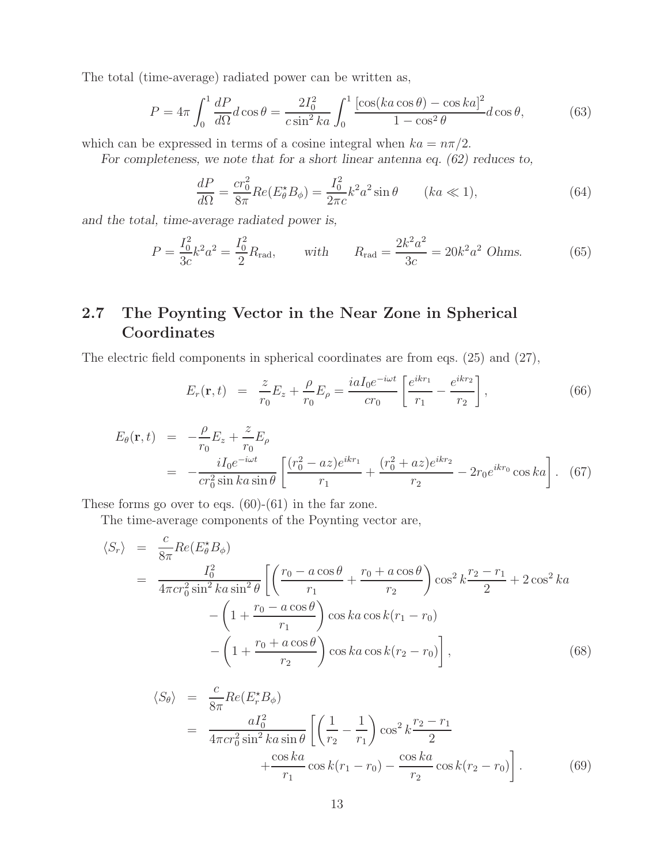The total (time-average) radiated power can be written as,

$$
P = 4\pi \int_0^1 \frac{dP}{d\Omega} d\cos\theta = \frac{2I_0^2}{c\sin^2 ka} \int_0^1 \frac{\left[\cos(ka\cos\theta) - \cos ka\right]^2}{1 - \cos^2\theta} d\cos\theta,\tag{63}
$$

which can be expressed in terms of a cosine integral when  $ka = n\pi/2$ .

*For completeness, we note that for a short linear antenna eq. (62) reduces to,*

$$
\frac{dP}{d\Omega} = \frac{cr_0^2}{8\pi} Re(E_\theta^* B_\phi) = \frac{I_0^2}{2\pi c} k^2 a^2 \sin\theta \qquad (ka \ll 1),\tag{64}
$$

*and the total, time-average radiated power is,*

$$
P = \frac{I_0^2}{3c} k^2 a^2 = \frac{I_0^2}{2} R_{\text{rad}}, \quad \text{with} \quad R_{\text{rad}} = \frac{2k^2 a^2}{3c} = 20k^2 a^2 \text{ Ohms.}
$$
 (65)

### **2.7 The Poynting Vector in the Near Zone in Spherical Coordinates**

The electric field components in spherical coordinates are from eqs. (25) and (27),

$$
E_r(\mathbf{r},t) = \frac{z}{r_0} E_z + \frac{\rho}{r_0} E_\rho = \frac{i a I_0 e^{-i\omega t}}{cr_0} \left[ \frac{e^{ikr_1}}{r_1} - \frac{e^{ikr_2}}{r_2} \right],
$$
 (66)

$$
E_{\theta}(\mathbf{r},t) = -\frac{\rho}{r_0} E_z + \frac{z}{r_0} E_{\rho}
$$
  
= 
$$
-\frac{iI_0 e^{-i\omega t}}{cr_0^2 \sin ka \sin \theta} \left[ \frac{(r_0^2 - az)e^{ikr_1}}{r_1} + \frac{(r_0^2 + az)e^{ikr_2}}{r_2} - 2r_0 e^{ikr_0} \cos ka \right].
$$
 (67)

These forms go over to eqs.  $(60)-(61)$  in the far zone.

The time-average components of the Poynting vector are,

$$
\langle S_r \rangle = \frac{c}{8\pi} Re(E_{\theta}^{*} B_{\phi})
$$
  
= 
$$
\frac{I_0^2}{4\pi c r_0^2 \sin^2 ka \sin^2 \theta} \left[ \left( \frac{r_0 - a \cos \theta}{r_1} + \frac{r_0 + a \cos \theta}{r_2} \right) \cos^2 k \frac{r_2 - r_1}{2} + 2 \cos^2 ka - \left( 1 + \frac{r_0 - a \cos \theta}{r_1} \right) \cos ka \cos k(r_1 - r_0) - \left( 1 + \frac{r_0 + a \cos \theta}{r_2} \right) \cos ka \cos k(r_2 - r_0) \right],
$$
 (68)

$$
\langle S_{\theta} \rangle = \frac{c}{8\pi} Re(E_r^* B_{\phi})
$$
  
= 
$$
\frac{aI_0^2}{4\pi c r_0^2 \sin^2 ka \sin \theta} \left[ \left( \frac{1}{r_2} - \frac{1}{r_1} \right) \cos^2 k \frac{r_2 - r_1}{2} + \frac{\cos ka}{r_1} \cos k(r_1 - r_0) - \frac{\cos ka}{r_2} \cos k(r_2 - r_0) \right].
$$
 (69)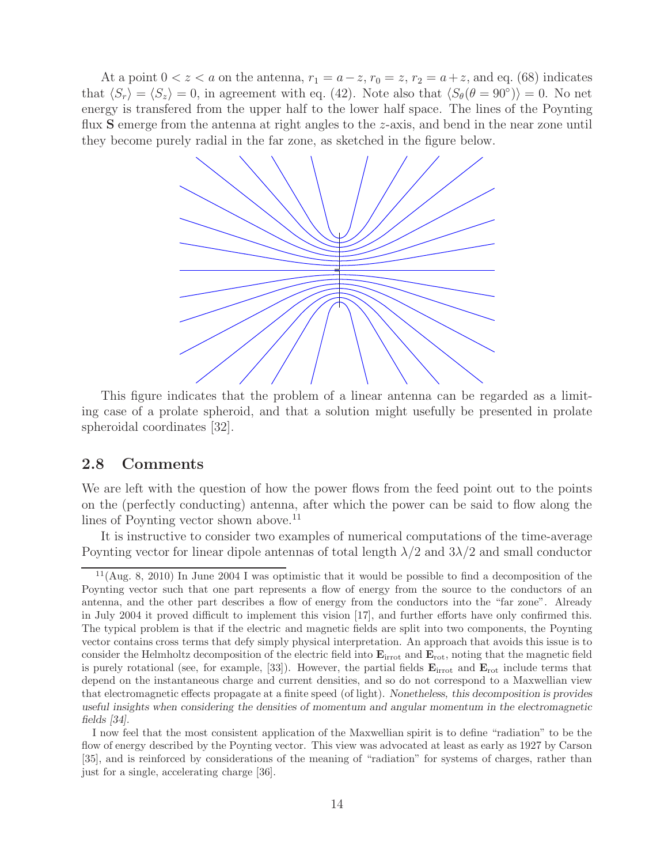At a point  $0 < z < a$  on the antenna,  $r_1 = a - z$ ,  $r_0 = z$ ,  $r_2 = a + z$ , and eq. (68) indicates that  $\langle S_r \rangle = \langle S_z \rangle = 0$ , in agreement with eq. (42). Note also that  $\langle S_{\theta}(\theta = 90^{\circ}) \rangle = 0$ . No net energy is transfered from the upper half to the lower half space. The lines of the Poynting flux **S** emerge from the antenna at right angles to the z-axis, and bend in the near zone until they become purely radial in the far zone, as sketched in the figure below.



This figure indicates that the problem of a linear antenna can be regarded as a limiting case of a prolate spheroid, and that a solution might usefully be presented in prolate spheroidal coordinates [32].

#### **2.8 Comments**

We are left with the question of how the power flows from the feed point out to the points on the (perfectly conducting) antenna, after which the power can be said to flow along the lines of Poynting vector shown above.<sup>11</sup>

It is instructive to consider two examples of numerical computations of the time-average Poynting vector for linear dipole antennas of total length  $\lambda/2$  and  $3\lambda/2$  and small conductor

 $11(Aug. 8, 2010)$  In June 2004 I was optimistic that it would be possible to find a decomposition of the Poynting vector such that one part represents a flow of energy from the source to the conductors of an antenna, and the other part describes a flow of energy from the conductors into the "far zone". Already in July 2004 it proved difficult to implement this vision [17], and further efforts have only confirmed this. The typical problem is that if the electric and magnetic fields are split into two components, the Poynting vector contains cross terms that defy simply physical interpretation. An approach that avoids this issue is to consider the Helmholtz decomposition of the electric field into **E**irrot and **E**rot, noting that the magnetic field is purely rotational (see, for example, [33]). However, the partial fields  $\mathbf{E}_{\text{irrot}}$  and  $\mathbf{E}_{\text{rot}}$  include terms that depend on the instantaneous charge and current densities, and so do not correspond to a Maxwellian view that electromagnetic effects propagate at a finite speed (of light). *Nonetheless, this decomposition is provides useful insights when considering the densities of momentum and angular momentum in the electromagnetic fields [34].*

I now feel that the most consistent application of the Maxwellian spirit is to define "radiation" to be the flow of energy described by the Poynting vector. This view was advocated at least as early as 1927 by Carson [35], and is reinforced by considerations of the meaning of "radiation" for systems of charges, rather than just for a single, accelerating charge [36].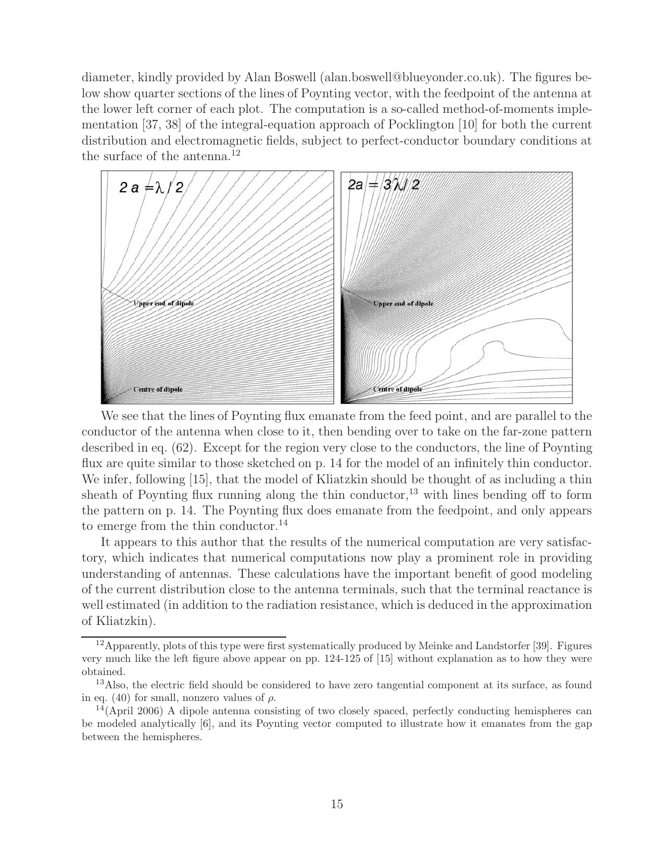diameter, kindly provided by Alan Boswell (alan.boswell@blueyonder.co.uk). The figures below show quarter sections of the lines of Poynting vector, with the feedpoint of the antenna at the lower left corner of each plot. The computation is a so-called method-of-moments implementation [37, 38] of the integral-equation approach of Pocklington [10] for both the current distribution and electromagnetic fields, subject to perfect-conductor boundary conditions at the surface of the antenna. $^{12}$ 



We see that the lines of Poynting flux emanate from the feed point, and are parallel to the conductor of the antenna when close to it, then bending over to take on the far-zone pattern described in eq. (62). Except for the region very close to the conductors, the line of Poynting flux are quite similar to those sketched on p. 14 for the model of an infinitely thin conductor. We infer, following [15], that the model of Kliatzkin should be thought of as including a thin sheath of Poynting flux running along the thin conductor, $^{13}$  with lines bending off to form the pattern on p. 14. The Poynting flux does emanate from the feedpoint, and only appears to emerge from the thin conductor. $^{14}$ 

It appears to this author that the results of the numerical computation are very satisfactory, which indicates that numerical computations now play a prominent role in providing understanding of antennas. These calculations have the important benefit of good modeling of the current distribution close to the antenna terminals, such that the terminal reactance is well estimated (in addition to the radiation resistance, which is deduced in the approximation of Kliatzkin).

<sup>&</sup>lt;sup>12</sup> Apparently, plots of this type were first systematically produced by Meinke and Landstorfer [39]. Figures very much like the left figure above appear on pp. 124-125 of [15] without explanation as to how they were obtained.

<sup>&</sup>lt;sup>13</sup>Also, the electric field should be considered to have zero tangential component at its surface, as found in eq. (40) for small, nonzero values of  $\rho$ .

 $14(Apri 2006)$  A dipole antenna consisting of two closely spaced, perfectly conducting hemispheres can be modeled analytically [6], and its Poynting vector computed to illustrate how it emanates from the gap between the hemispheres.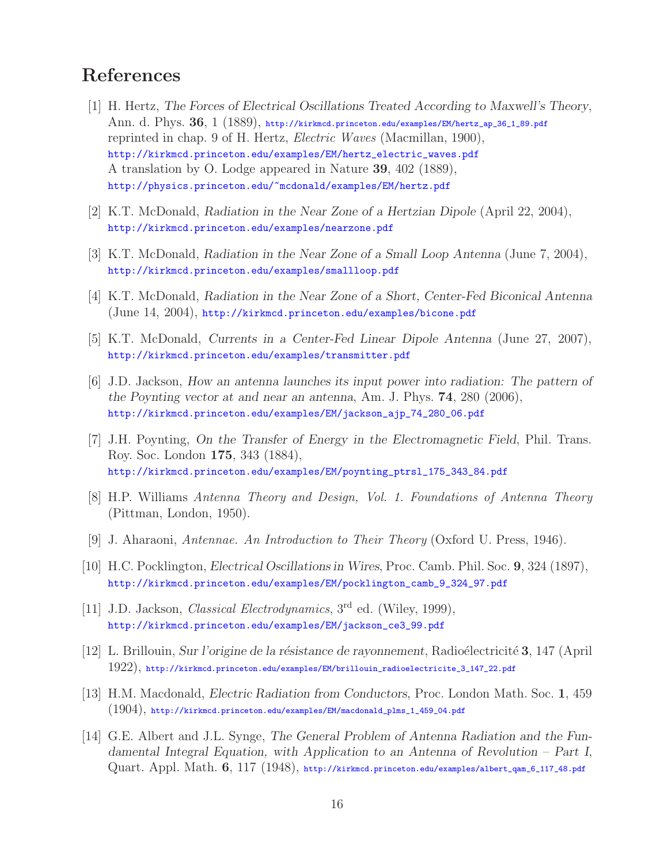## **References**

- [1] H. Hertz, *The Forces of Electrical Oscillations Treated According to Maxwell's Theory*, Ann. d. Phys. **36**, 1 (1889), http://kirkmcd.princeton.edu/examples/EM/hertz\_ap\_36\_1\_89.pdf reprinted in chap. 9 of H. Hertz, *Electric Waves* (Macmillan, 1900), http://kirkmcd.princeton.edu/examples/EM/hertz\_electric\_waves.pdf A translation by O. Lodge appeared in Nature **39**, 402 (1889), http://physics.princeton.edu/~mcdonald/examples/EM/hertz.pdf
- [2] K.T. McDonald, *Radiation in the Near Zone of a Hertzian Dipole* (April 22, 2004), http://kirkmcd.princeton.edu/examples/nearzone.pdf
- [3] K.T. McDonald, *Radiation in the Near Zone of a Small Loop Antenna* (June 7, 2004), http://kirkmcd.princeton.edu/examples/smallloop.pdf
- [4] K.T. McDonald, *Radiation in the Near Zone of a Short, Center-Fed Biconical Antenna* (June 14, 2004), http://kirkmcd.princeton.edu/examples/bicone.pdf
- [5] K.T. McDonald, *Currents in a Center-Fed Linear Dipole Antenna* (June 27, 2007), http://kirkmcd.princeton.edu/examples/transmitter.pdf
- [6] J.D. Jackson, *How an antenna launches its input power into radiation: The pattern of the Poynting vector at and near an antenna*, Am. J. Phys. **74**, 280 (2006), http://kirkmcd.princeton.edu/examples/EM/jackson\_ajp\_74\_280\_06.pdf
- [7] J.H. Poynting, *On the Transfer of Energy in the Electromagnetic Field*, Phil. Trans. Roy. Soc. London **175**, 343 (1884), http://kirkmcd.princeton.edu/examples/EM/poynting\_ptrsl\_175\_343\_84.pdf
- [8] H.P. Williams *Antenna Theory and Design, Vol. 1. Foundations of Antenna Theory* (Pittman, London, 1950).
- [9] J. Aharaoni, *Antennae. An Introduction to Their Theory* (Oxford U. Press, 1946).
- [10] H.C. Pocklington, *Electrical Oscillations in Wires*, Proc. Camb. Phil. Soc. **9**, 324 (1897), http://kirkmcd.princeton.edu/examples/EM/pocklington\_camb\_9\_324\_97.pdf
- [11] J.D. Jackson, *Classical Electrodynamics*, 3rd ed. (Wiley, 1999), http://kirkmcd.princeton.edu/examples/EM/jackson\_ce3\_99.pdf
- [12] L. Brillouin, *Sur l'origine de la r´esistance de rayonnement*, Radio´electricit´e **3**, 147 (April 1922), http://kirkmcd.princeton.edu/examples/EM/brillouin\_radioelectricite\_3\_147\_22.pdf
- [13] H.M. Macdonald, *Electric Radiation from Conductors*, Proc. London Math. Soc. **1**, 459  $(1904)$ , http://kirkmcd.princeton.edu/examples/EM/macdonald\_plms\_1\_459\_04.pdf
- [14] G.E. Albert and J.L. Synge, *The General Problem of Antenna Radiation and the Fundamental Integral Equation, with Application to an Antenna of Revolution – Part I*, Quart. Appl. Math. **6**, 117 (1948), http://kirkmcd.princeton.edu/examples/albert\_qam\_6\_117\_48.pdf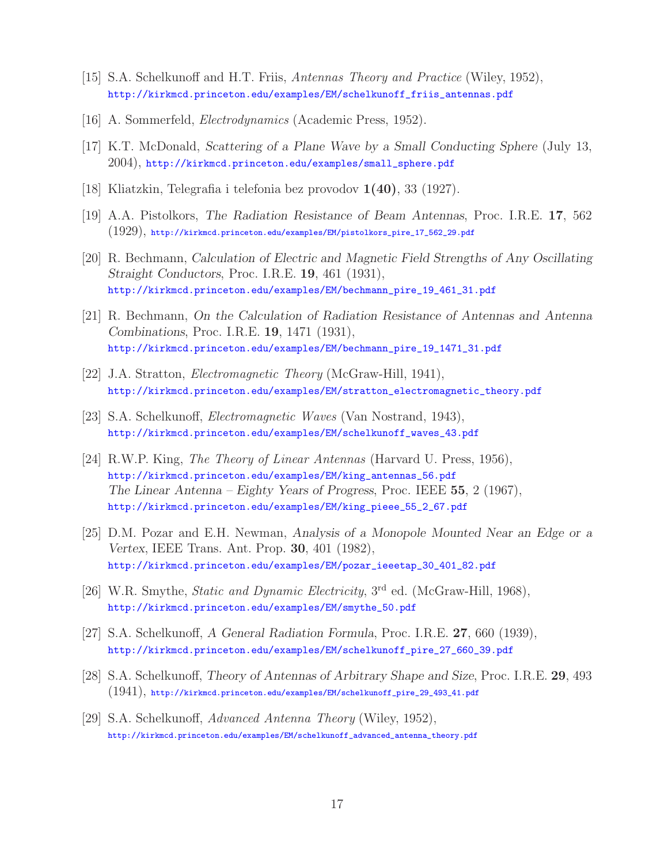- [15] S.A. Schelkunoff and H.T. Friis, *Antennas Theory and Practice* (Wiley, 1952), http://kirkmcd.princeton.edu/examples/EM/schelkunoff\_friis\_antennas.pdf
- [16] A. Sommerfeld, *Electrodynamics* (Academic Press, 1952).
- [17] K.T. McDonald, *Scattering of a Plane Wave by a Small Conducting Sphere* (July 13, 2004), http://kirkmcd.princeton.edu/examples/small\_sphere.pdf
- [18] Kliatzkin, Telegrafia i telefonia bez provodov **1(40)**, 33 (1927).
- [19] A.A. Pistolkors, *The Radiation Resistance of Beam Antennas*, Proc. I.R.E. **17**, 562 (1929), http://kirkmcd.princeton.edu/examples/EM/pistolkors\_pire\_17\_562\_29.pdf
- [20] R. Bechmann, *Calculation of Electric and Magnetic Field Strengths of Any Oscillating Straight Conductors*, Proc. I.R.E. **19**, 461 (1931), http://kirkmcd.princeton.edu/examples/EM/bechmann\_pire\_19\_461\_31.pdf
- [21] R. Bechmann, *On the Calculation of Radiation Resistance of Antennas and Antenna Combinations*, Proc. I.R.E. **19**, 1471 (1931), http://kirkmcd.princeton.edu/examples/EM/bechmann\_pire\_19\_1471\_31.pdf
- [22] J.A. Stratton, *Electromagnetic Theory* (McGraw-Hill, 1941), http://kirkmcd.princeton.edu/examples/EM/stratton\_electromagnetic\_theory.pdf
- [23] S.A. Schelkunoff, *Electromagnetic Waves* (Van Nostrand, 1943), http://kirkmcd.princeton.edu/examples/EM/schelkunoff\_waves\_43.pdf
- [24] R.W.P. King, *The Theory of Linear Antennas* (Harvard U. Press, 1956), http://kirkmcd.princeton.edu/examples/EM/king\_antennas\_56.pdf *The Linear Antenna – Eighty Years of Progress*, Proc. IEEE **55**, 2 (1967), http://kirkmcd.princeton.edu/examples/EM/king\_pieee\_55\_2\_67.pdf
- [25] D.M. Pozar and E.H. Newman, *Analysis of a Monopole Mounted Near an Edge or a Vertex*, IEEE Trans. Ant. Prop. **30**, 401 (1982), http://kirkmcd.princeton.edu/examples/EM/pozar\_ieeetap\_30\_401\_82.pdf
- [26] W.R. Smythe, *Static and Dynamic Electricity*, 3rd ed. (McGraw-Hill, 1968), http://kirkmcd.princeton.edu/examples/EM/smythe\_50.pdf
- [27] S.A. Schelkunoff, *A General Radiation Formula*, Proc. I.R.E. **27**, 660 (1939), http://kirkmcd.princeton.edu/examples/EM/schelkunoff\_pire\_27\_660\_39.pdf
- [28] S.A. Schelkunoff, *Theory of Antennas of Arbitrary Shape and Size*, Proc. I.R.E. **29**, 493 (1941), http://kirkmcd.princeton.edu/examples/EM/schelkunoff\_pire\_29\_493\_41.pdf
- [29] S.A. Schelkunoff, *Advanced Antenna Theory* (Wiley, 1952), http://kirkmcd.princeton.edu/examples/EM/schelkunoff\_advanced\_antenna\_theory.pdf